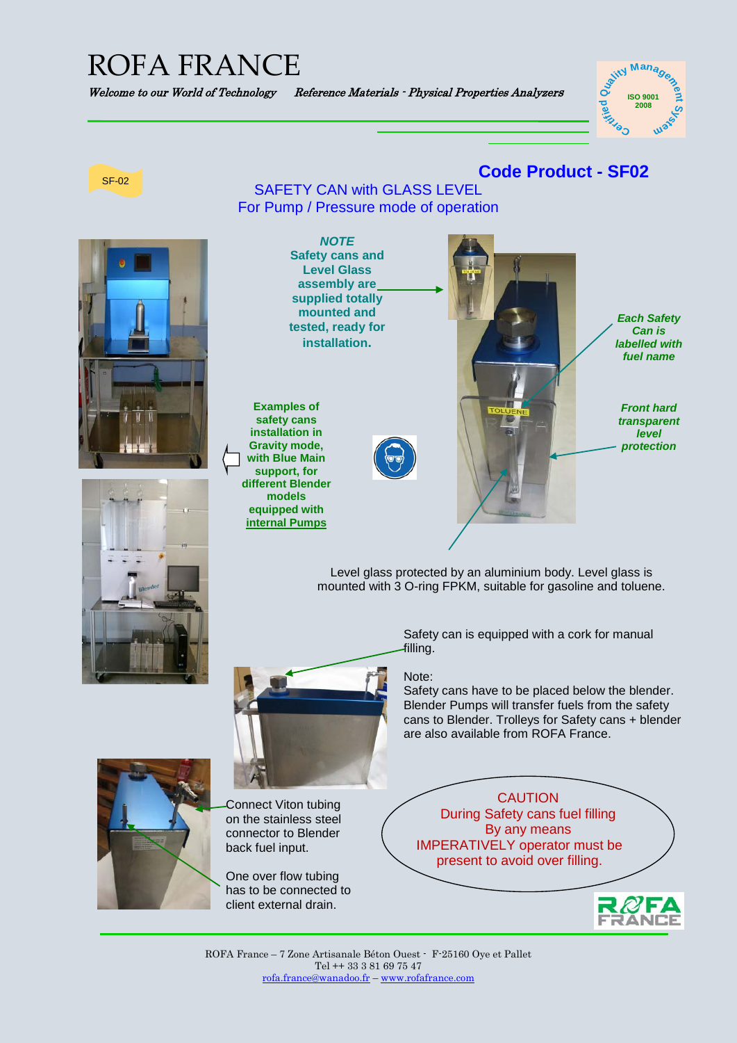## ROFA FRANCE

Welcome to our World of Technology Reference Materials - Physical Properties Analyzers





ROFA France – 7 Zone Artisanale Béton Ouest - F-25160 Oye et Pallet Tel ++ 33 3 81 69 75 47 [rofa.france@wanadoo.fr](mailto:rofa.france@wanadoo.fr) – [www.rofafrance.com](http://www.rofafrance.com/)